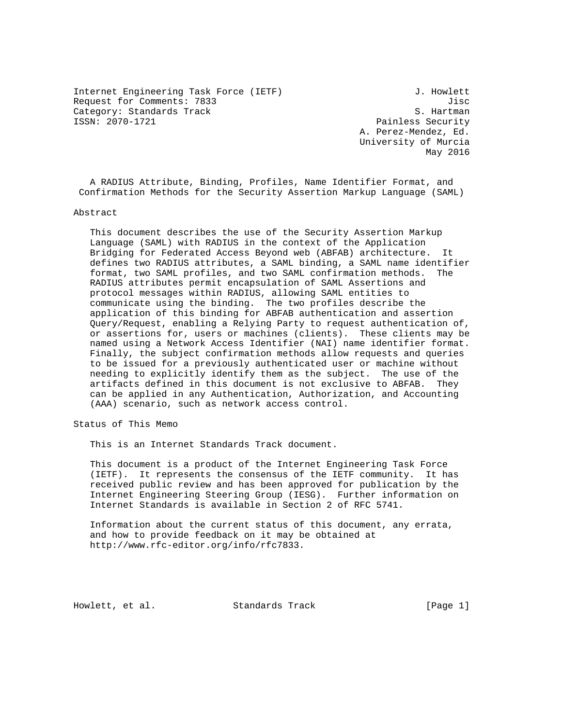Internet Engineering Task Force (IETF) 3. Howlett Request for Comments: 7833 Jisc Category: Standards Track and S. Hartman S. Hartman S. Hartman S. Hartman S. Hartman S. Hartman S. Hartman S. Hartman S. Hartman S. Hartman S. Hartman S. Hartman S. Hartman S. Hartman S. Hartman S. Hartman S. Hartman S. Ha

Painless Security A. Perez-Mendez, Ed. University of Murcia May 2016

 A RADIUS Attribute, Binding, Profiles, Name Identifier Format, and Confirmation Methods for the Security Assertion Markup Language (SAML)

#### Abstract

 This document describes the use of the Security Assertion Markup Language (SAML) with RADIUS in the context of the Application Bridging for Federated Access Beyond web (ABFAB) architecture. It defines two RADIUS attributes, a SAML binding, a SAML name identifier format, two SAML profiles, and two SAML confirmation methods. The RADIUS attributes permit encapsulation of SAML Assertions and protocol messages within RADIUS, allowing SAML entities to communicate using the binding. The two profiles describe the application of this binding for ABFAB authentication and assertion Query/Request, enabling a Relying Party to request authentication of, or assertions for, users or machines (clients). These clients may be named using a Network Access Identifier (NAI) name identifier format. Finally, the subject confirmation methods allow requests and queries to be issued for a previously authenticated user or machine without needing to explicitly identify them as the subject. The use of the artifacts defined in this document is not exclusive to ABFAB. They can be applied in any Authentication, Authorization, and Accounting (AAA) scenario, such as network access control.

Status of This Memo

This is an Internet Standards Track document.

 This document is a product of the Internet Engineering Task Force (IETF). It represents the consensus of the IETF community. It has received public review and has been approved for publication by the Internet Engineering Steering Group (IESG). Further information on Internet Standards is available in Section 2 of RFC 5741.

 Information about the current status of this document, any errata, and how to provide feedback on it may be obtained at http://www.rfc-editor.org/info/rfc7833.

Howlett, et al. Standards Track [Page 1]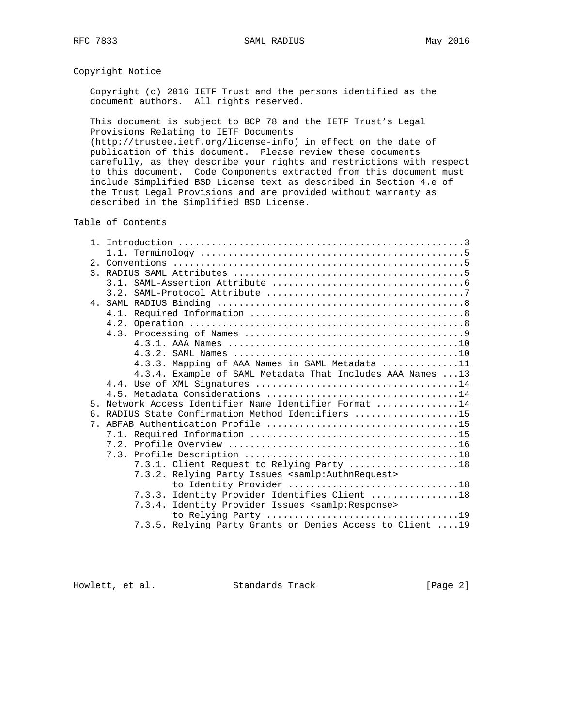## Copyright Notice

 Copyright (c) 2016 IETF Trust and the persons identified as the document authors. All rights reserved.

 This document is subject to BCP 78 and the IETF Trust's Legal Provisions Relating to IETF Documents (http://trustee.ietf.org/license-info) in effect on the date of publication of this document. Please review these documents carefully, as they describe your rights and restrictions with respect

 to this document. Code Components extracted from this document must include Simplified BSD License text as described in Section 4.e of the Trust Legal Provisions and are provided without warranty as described in the Simplified BSD License.

### Table of Contents

|                | 4.3.3. Mapping of AAA Names in SAML Metadata 11                   |
|----------------|-------------------------------------------------------------------|
|                | 4.3.4. Example of SAML Metadata That Includes AAA Names 13        |
|                |                                                                   |
|                |                                                                   |
| 5 <sub>1</sub> | Network Access Identifier Name Identifier Format 14               |
|                | 6. RADIUS State Confirmation Method Identifiers 15                |
|                |                                                                   |
|                |                                                                   |
|                |                                                                   |
|                |                                                                   |
|                | 7.3.1. Client Request to Relying Party 18                         |
|                | 7.3.2. Relying Party Issues < samlp: Authn Request>               |
|                | to Identity Provider 18                                           |
|                | 7.3.3. Identity Provider Identifies Client 18                     |
|                | 7.3.4. Identity Provider Issues <samlp:response></samlp:response> |
|                |                                                                   |
|                | 7.3.5. Relying Party Grants or Denies Access to Client  19        |

Howlett, et al. Standards Track [Page 2]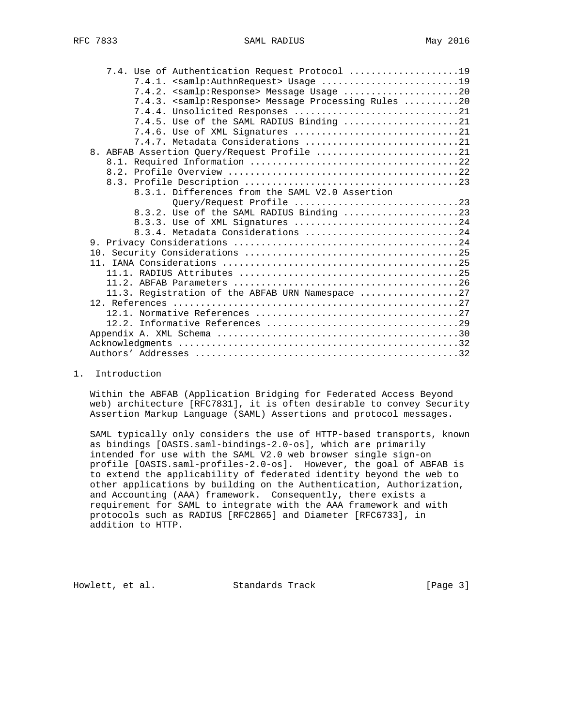| 7.4. Use of Authentication Request Protocol 19        |  |
|-------------------------------------------------------|--|
|                                                       |  |
| 7.4.2. < samlp: Response> Message Usage 20            |  |
| 7.4.3. < samlp: Response> Message Processing Rules 20 |  |
|                                                       |  |
| 7.4.5. Use of the SAML RADIUS Binding 21              |  |
| 7.4.6. Use of XML Signatures 21                       |  |
| 7.4.7. Metadata Considerations 21                     |  |
| 8. ABFAB Assertion Query/Request Profile 21           |  |
|                                                       |  |
|                                                       |  |
|                                                       |  |
| 8.3.1. Differences from the SAML V2.0 Assertion       |  |
| Query/Request Profile 23                              |  |
| 8.3.2. Use of the SAML RADIUS Binding 23              |  |
| 8.3.3. Use of XML Signatures 24                       |  |
| 8.3.4. Metadata Considerations 24                     |  |
|                                                       |  |
|                                                       |  |
|                                                       |  |
|                                                       |  |
|                                                       |  |
| 11.3. Registration of the ABFAB URN Namespace 27      |  |
|                                                       |  |
|                                                       |  |
|                                                       |  |
|                                                       |  |
|                                                       |  |
|                                                       |  |

#### 1. Introduction

 Within the ABFAB (Application Bridging for Federated Access Beyond web) architecture [RFC7831], it is often desirable to convey Security Assertion Markup Language (SAML) Assertions and protocol messages.

 SAML typically only considers the use of HTTP-based transports, known as bindings [OASIS.saml-bindings-2.0-os], which are primarily intended for use with the SAML V2.0 web browser single sign-on profile [OASIS.saml-profiles-2.0-os]. However, the goal of ABFAB is to extend the applicability of federated identity beyond the web to other applications by building on the Authentication, Authorization, and Accounting (AAA) framework. Consequently, there exists a requirement for SAML to integrate with the AAA framework and with protocols such as RADIUS [RFC2865] and Diameter [RFC6733], in addition to HTTP.

Howlett, et al. Standards Track [Page 3]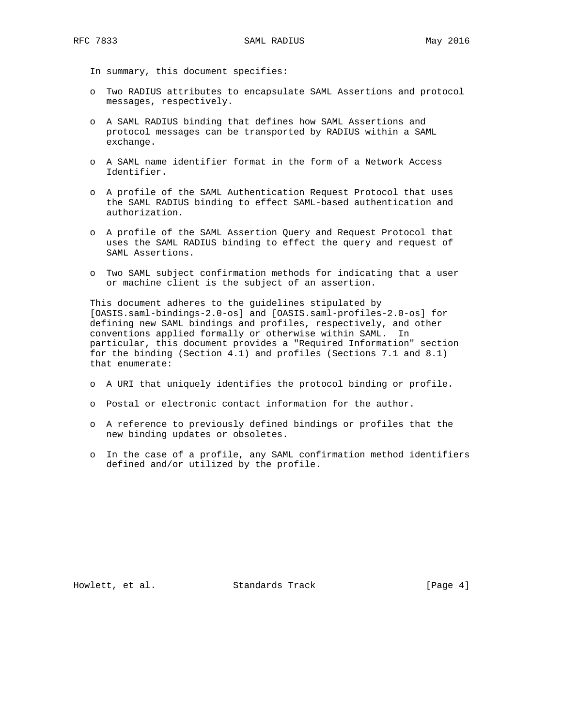In summary, this document specifies:

- o Two RADIUS attributes to encapsulate SAML Assertions and protocol messages, respectively.
- o A SAML RADIUS binding that defines how SAML Assertions and protocol messages can be transported by RADIUS within a SAML exchange.
- o A SAML name identifier format in the form of a Network Access Identifier.
- o A profile of the SAML Authentication Request Protocol that uses the SAML RADIUS binding to effect SAML-based authentication and authorization.
- o A profile of the SAML Assertion Query and Request Protocol that uses the SAML RADIUS binding to effect the query and request of SAML Assertions.
- o Two SAML subject confirmation methods for indicating that a user or machine client is the subject of an assertion.

 This document adheres to the guidelines stipulated by [OASIS.saml-bindings-2.0-os] and [OASIS.saml-profiles-2.0-os] for defining new SAML bindings and profiles, respectively, and other conventions applied formally or otherwise within SAML. In particular, this document provides a "Required Information" section for the binding (Section 4.1) and profiles (Sections 7.1 and 8.1) that enumerate:

- o A URI that uniquely identifies the protocol binding or profile.
- o Postal or electronic contact information for the author.
- o A reference to previously defined bindings or profiles that the new binding updates or obsoletes.
- o In the case of a profile, any SAML confirmation method identifiers defined and/or utilized by the profile.

Howlett, et al. Standards Track [Page 4]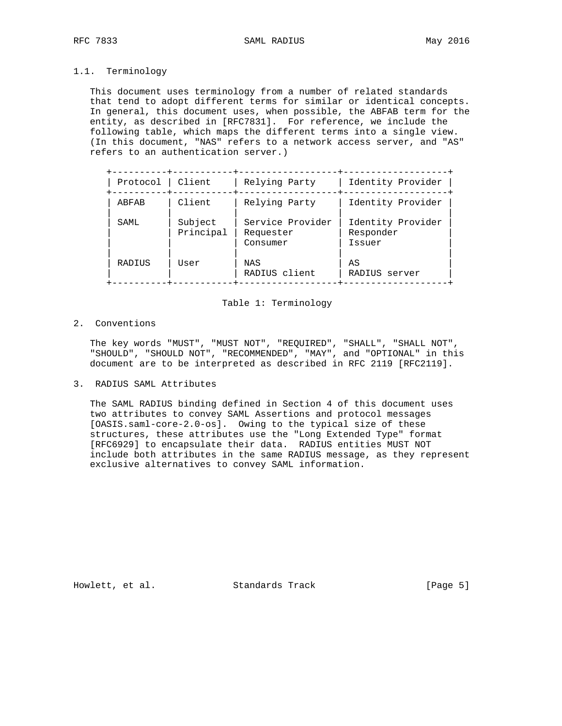### 1.1. Terminology

 This document uses terminology from a number of related standards that tend to adopt different terms for similar or identical concepts. In general, this document uses, when possible, the ABFAB term for the entity, as described in [RFC7831]. For reference, we include the following table, which maps the different terms into a single view. (In this document, "NAS" refers to a network access server, and "AS" refers to an authentication server.)

| Protocol | Client               | Relying Party                             | Identity Provider                        |
|----------|----------------------|-------------------------------------------|------------------------------------------|
| ABFAB    | Client               | Relying Party                             | Identity Provider                        |
| SAML     | Subject<br>Principal | Service Provider<br>Requester<br>Consumer | Identity Provider<br>Responder<br>Issuer |
| RADIUS   | User                 | NAS<br>RADIUS client                      | AS<br>RADIUS server                      |

### Table 1: Terminology

#### 2. Conventions

 The key words "MUST", "MUST NOT", "REQUIRED", "SHALL", "SHALL NOT", "SHOULD", "SHOULD NOT", "RECOMMENDED", "MAY", and "OPTIONAL" in this document are to be interpreted as described in RFC 2119 [RFC2119].

3. RADIUS SAML Attributes

 The SAML RADIUS binding defined in Section 4 of this document uses two attributes to convey SAML Assertions and protocol messages [OASIS.saml-core-2.0-os]. Owing to the typical size of these structures, these attributes use the "Long Extended Type" format [RFC6929] to encapsulate their data. RADIUS entities MUST NOT include both attributes in the same RADIUS message, as they represent exclusive alternatives to convey SAML information.

Howlett, et al. Standards Track [Page 5]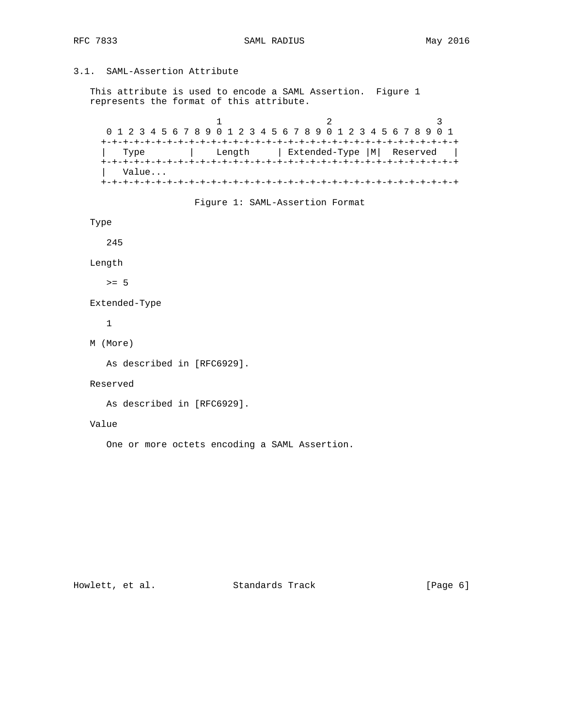RFC 7833 SAML RADIUS SAME RECORD May 2016

## 3.1. SAML-Assertion Attribute

 This attribute is used to encode a SAML Assertion. Figure 1 represents the format of this attribute.

1 2 3 0 1 2 3 4 5 6 7 8 9 0 1 2 3 4 5 6 7 8 9 0 1 2 3 4 5 6 7 8 9 0 1 +-+-+-+-+-+-+-+-+-+-+-+-+-+-+-+-+-+-+-+-+-+-+-+-+-+-+-+-+-+-+-+-+ | Type | Length | Extended-Type |M| Reserved | +-+-+-+-+-+-+-+-+-+-+-+-+-+-+-+-+-+-+-+-+-+-+-+-+-+-+-+-+-+-+-+-+ | Value... +-+-+-+-+-+-+-+-+-+-+-+-+-+-+-+-+-+-+-+-+-+-+-+-+-+-+-+-+-+-+-+-+



Type

245

Length

 $>= 5$ 

Extended-Type

1

M (More)

As described in [RFC6929].

#### Reserved

As described in [RFC6929].

### Value

One or more octets encoding a SAML Assertion.

Howlett, et al. Standards Track [Page 6]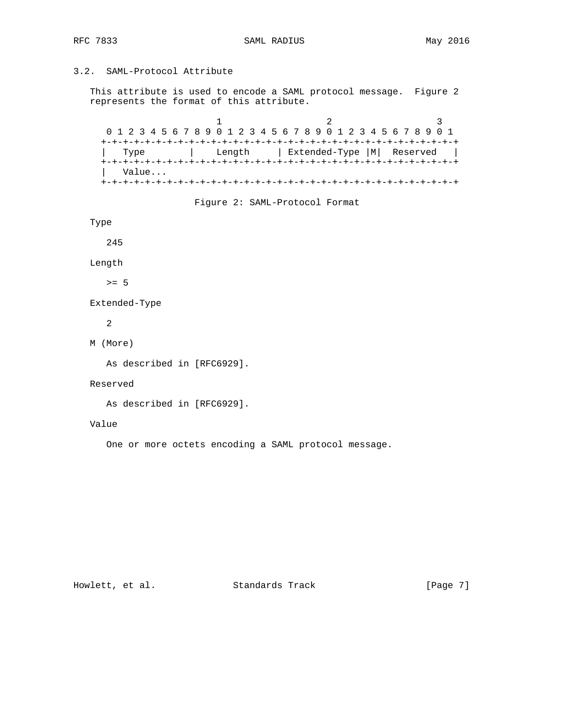RFC 7833 SAML RADIUS SAME RECORD May 2016

## 3.2. SAML-Protocol Attribute

 This attribute is used to encode a SAML protocol message. Figure 2 represents the format of this attribute.

1 2 3 0 1 2 3 4 5 6 7 8 9 0 1 2 3 4 5 6 7 8 9 0 1 2 3 4 5 6 7 8 9 0 1 +-+-+-+-+-+-+-+-+-+-+-+-+-+-+-+-+-+-+-+-+-+-+-+-+-+-+-+-+-+-+-+-+ | Type | Length | Extended-Type |M| Reserved | +-+-+-+-+-+-+-+-+-+-+-+-+-+-+-+-+-+-+-+-+-+-+-+-+-+-+-+-+-+-+-+-+ | Value... +-+-+-+-+-+-+-+-+-+-+-+-+-+-+-+-+-+-+-+-+-+-+-+-+-+-+-+-+-+-+-+-+

#### Figure 2: SAML-Protocol Format

Type

245

Length

>= 5

Extended-Type

2

M (More)

As described in [RFC6929].

#### Reserved

As described in [RFC6929].

### Value

One or more octets encoding a SAML protocol message.

Howlett, et al. Standards Track [Page 7]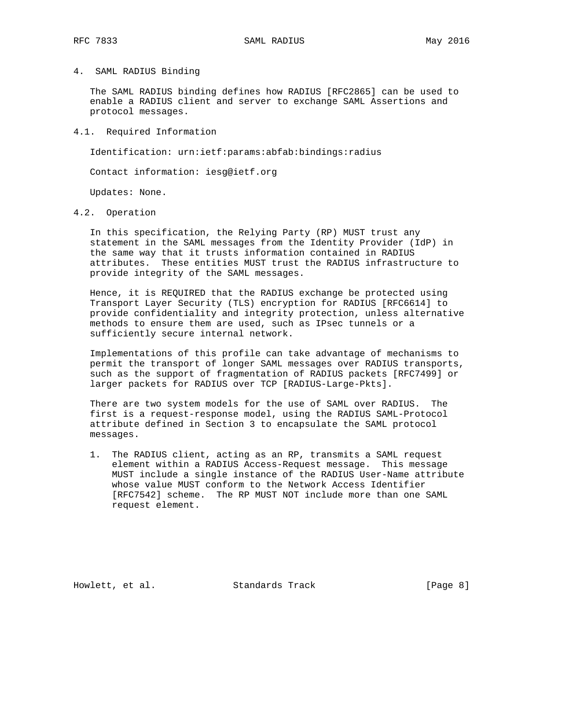## 4. SAML RADIUS Binding

 The SAML RADIUS binding defines how RADIUS [RFC2865] can be used to enable a RADIUS client and server to exchange SAML Assertions and protocol messages.

#### 4.1. Required Information

Identification: urn:ietf:params:abfab:bindings:radius

Contact information: iesg@ietf.org

Updates: None.

#### 4.2. Operation

 In this specification, the Relying Party (RP) MUST trust any statement in the SAML messages from the Identity Provider (IdP) in the same way that it trusts information contained in RADIUS attributes. These entities MUST trust the RADIUS infrastructure to provide integrity of the SAML messages.

 Hence, it is REQUIRED that the RADIUS exchange be protected using Transport Layer Security (TLS) encryption for RADIUS [RFC6614] to provide confidentiality and integrity protection, unless alternative methods to ensure them are used, such as IPsec tunnels or a sufficiently secure internal network.

 Implementations of this profile can take advantage of mechanisms to permit the transport of longer SAML messages over RADIUS transports, such as the support of fragmentation of RADIUS packets [RFC7499] or larger packets for RADIUS over TCP [RADIUS-Large-Pkts].

 There are two system models for the use of SAML over RADIUS. The first is a request-response model, using the RADIUS SAML-Protocol attribute defined in Section 3 to encapsulate the SAML protocol messages.

 1. The RADIUS client, acting as an RP, transmits a SAML request element within a RADIUS Access-Request message. This message MUST include a single instance of the RADIUS User-Name attribute whose value MUST conform to the Network Access Identifier [RFC7542] scheme. The RP MUST NOT include more than one SAML request element.

Howlett, et al. Standards Track [Page 8]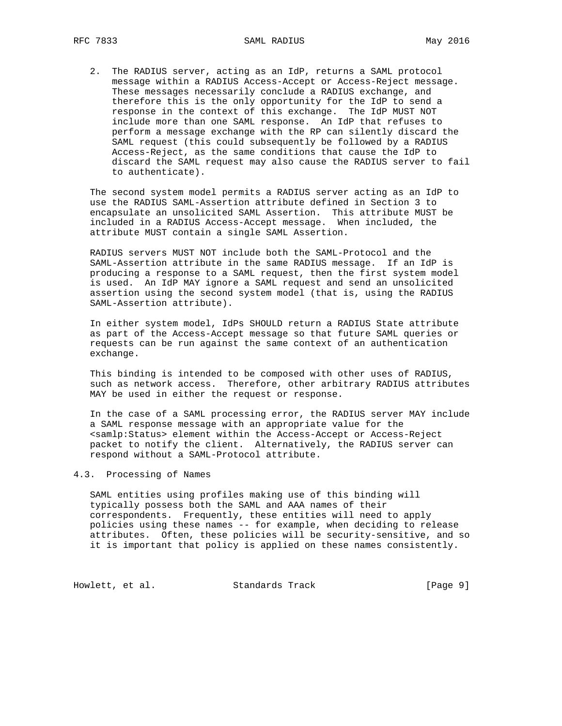2. The RADIUS server, acting as an IdP, returns a SAML protocol message within a RADIUS Access-Accept or Access-Reject message. These messages necessarily conclude a RADIUS exchange, and therefore this is the only opportunity for the IdP to send a response in the context of this exchange. The IdP MUST NOT include more than one SAML response. An IdP that refuses to perform a message exchange with the RP can silently discard the SAML request (this could subsequently be followed by a RADIUS Access-Reject, as the same conditions that cause the IdP to discard the SAML request may also cause the RADIUS server to fail to authenticate).

 The second system model permits a RADIUS server acting as an IdP to use the RADIUS SAML-Assertion attribute defined in Section 3 to encapsulate an unsolicited SAML Assertion. This attribute MUST be included in a RADIUS Access-Accept message. When included, the attribute MUST contain a single SAML Assertion.

 RADIUS servers MUST NOT include both the SAML-Protocol and the SAML-Assertion attribute in the same RADIUS message. If an IdP is producing a response to a SAML request, then the first system model is used. An IdP MAY ignore a SAML request and send an unsolicited assertion using the second system model (that is, using the RADIUS SAML-Assertion attribute).

 In either system model, IdPs SHOULD return a RADIUS State attribute as part of the Access-Accept message so that future SAML queries or requests can be run against the same context of an authentication exchange.

 This binding is intended to be composed with other uses of RADIUS, such as network access. Therefore, other arbitrary RADIUS attributes MAY be used in either the request or response.

 In the case of a SAML processing error, the RADIUS server MAY include a SAML response message with an appropriate value for the <samlp:Status> element within the Access-Accept or Access-Reject packet to notify the client. Alternatively, the RADIUS server can respond without a SAML-Protocol attribute.

#### 4.3. Processing of Names

 SAML entities using profiles making use of this binding will typically possess both the SAML and AAA names of their correspondents. Frequently, these entities will need to apply policies using these names -- for example, when deciding to release attributes. Often, these policies will be security-sensitive, and so it is important that policy is applied on these names consistently.

Howlett, et al. Standards Track [Page 9]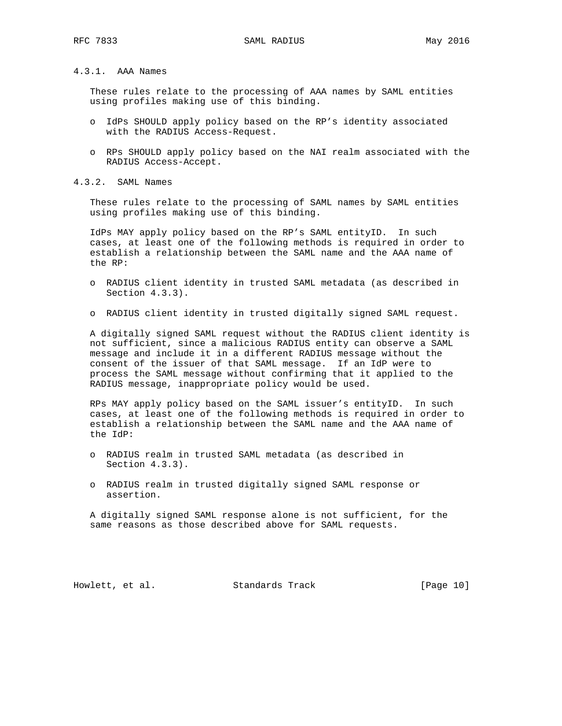### 4.3.1. AAA Names

 These rules relate to the processing of AAA names by SAML entities using profiles making use of this binding.

- o IdPs SHOULD apply policy based on the RP's identity associated with the RADIUS Access-Request.
- o RPs SHOULD apply policy based on the NAI realm associated with the RADIUS Access-Accept.
- 4.3.2. SAML Names

 These rules relate to the processing of SAML names by SAML entities using profiles making use of this binding.

 IdPs MAY apply policy based on the RP's SAML entityID. In such cases, at least one of the following methods is required in order to establish a relationship between the SAML name and the AAA name of the RP:

- o RADIUS client identity in trusted SAML metadata (as described in Section 4.3.3).
- o RADIUS client identity in trusted digitally signed SAML request.

 A digitally signed SAML request without the RADIUS client identity is not sufficient, since a malicious RADIUS entity can observe a SAML message and include it in a different RADIUS message without the consent of the issuer of that SAML message. If an IdP were to process the SAML message without confirming that it applied to the RADIUS message, inappropriate policy would be used.

 RPs MAY apply policy based on the SAML issuer's entityID. In such cases, at least one of the following methods is required in order to establish a relationship between the SAML name and the AAA name of the IdP:

- o RADIUS realm in trusted SAML metadata (as described in Section 4.3.3).
- o RADIUS realm in trusted digitally signed SAML response or assertion.

 A digitally signed SAML response alone is not sufficient, for the same reasons as those described above for SAML requests.

Howlett, et al. Standards Track [Page 10]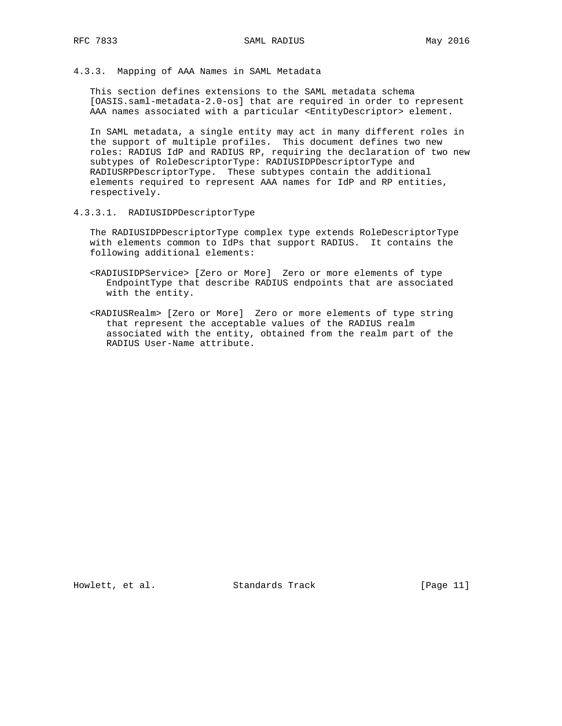4.3.3. Mapping of AAA Names in SAML Metadata

 This section defines extensions to the SAML metadata schema [OASIS.saml-metadata-2.0-os] that are required in order to represent AAA names associated with a particular <EntityDescriptor> element.

 In SAML metadata, a single entity may act in many different roles in the support of multiple profiles. This document defines two new roles: RADIUS IdP and RADIUS RP, requiring the declaration of two new subtypes of RoleDescriptorType: RADIUSIDPDescriptorType and RADIUSRPDescriptorType. These subtypes contain the additional elements required to represent AAA names for IdP and RP entities, respectively.

4.3.3.1. RADIUSIDPDescriptorType

 The RADIUSIDPDescriptorType complex type extends RoleDescriptorType with elements common to IdPs that support RADIUS. It contains the following additional elements:

- <RADIUSIDPService> [Zero or More] Zero or more elements of type EndpointType that describe RADIUS endpoints that are associated with the entity.
- <RADIUSRealm> [Zero or More] Zero or more elements of type string that represent the acceptable values of the RADIUS realm associated with the entity, obtained from the realm part of the RADIUS User-Name attribute.

Howlett, et al. Standards Track [Page 11]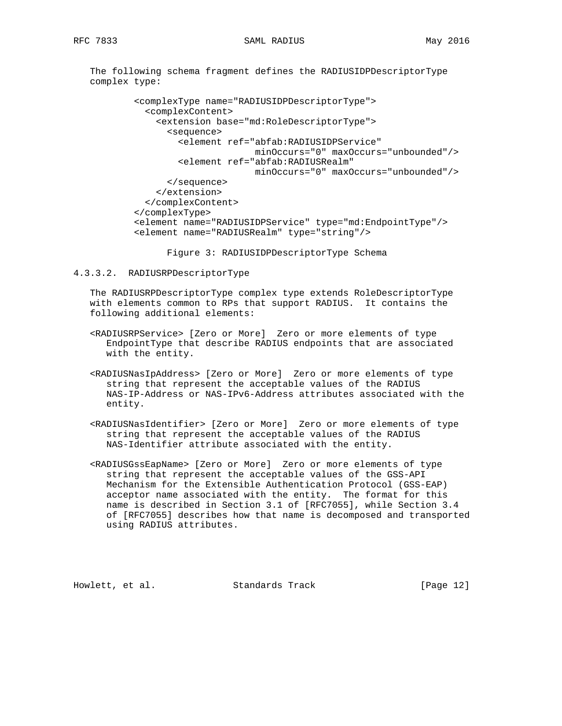The following schema fragment defines the RADIUSIDPDescriptorType complex type:

```
 <complexType name="RADIUSIDPDescriptorType">
   <complexContent>
     <extension base="md:RoleDescriptorType">
       <sequence>
         <element ref="abfab:RADIUSIDPService"
                       minOccurs="0" maxOccurs="unbounded"/>
         <element ref="abfab:RADIUSRealm"
                       minOccurs="0" maxOccurs="unbounded"/>
       </sequence>
     </extension>
   </complexContent>
 </complexType>
 <element name="RADIUSIDPService" type="md:EndpointType"/>
 <element name="RADIUSRealm" type="string"/>
```
Figure 3: RADIUSIDPDescriptorType Schema

4.3.3.2. RADIUSRPDescriptorType

 The RADIUSRPDescriptorType complex type extends RoleDescriptorType with elements common to RPs that support RADIUS. It contains the following additional elements:

- <RADIUSRPService> [Zero or More] Zero or more elements of type EndpointType that describe RADIUS endpoints that are associated with the entity.
- <RADIUSNasIpAddress> [Zero or More] Zero or more elements of type string that represent the acceptable values of the RADIUS NAS-IP-Address or NAS-IPv6-Address attributes associated with the entity.
- <RADIUSNasIdentifier> [Zero or More] Zero or more elements of type string that represent the acceptable values of the RADIUS NAS-Identifier attribute associated with the entity.
- <RADIUSGssEapName> [Zero or More] Zero or more elements of type string that represent the acceptable values of the GSS-API Mechanism for the Extensible Authentication Protocol (GSS-EAP) acceptor name associated with the entity. The format for this name is described in Section 3.1 of [RFC7055], while Section 3.4 of [RFC7055] describes how that name is decomposed and transported using RADIUS attributes.

Howlett, et al. Standards Track [Page 12]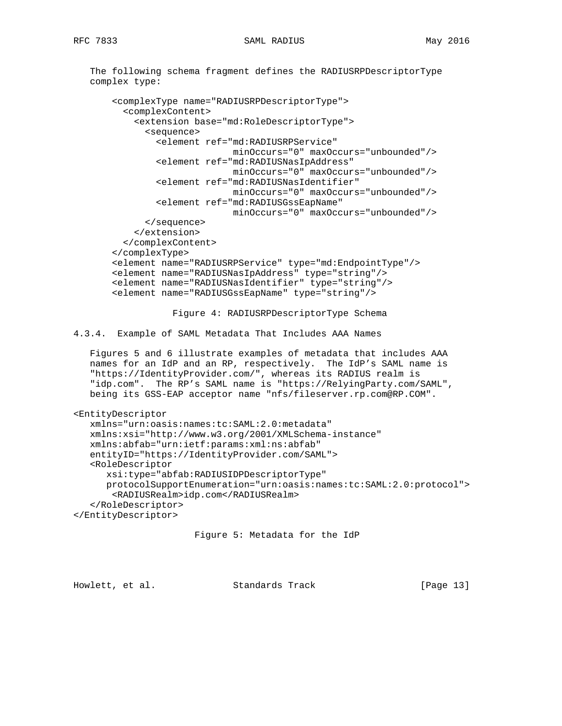```
 The following schema fragment defines the RADIUSRPDescriptorType
    complex type:
        <complexType name="RADIUSRPDescriptorType">
          <complexContent>
            <extension base="md:RoleDescriptorType">
              <sequence>
                <element ref="md:RADIUSRPService"
                              minOccurs="0" maxOccurs="unbounded"/>
                <element ref="md:RADIUSNasIpAddress"
                              minOccurs="0" maxOccurs="unbounded"/>
                <element ref="md:RADIUSNasIdentifier"
                              minOccurs="0" maxOccurs="unbounded"/>
                <element ref="md:RADIUSGssEapName"
                              minOccurs="0" maxOccurs="unbounded"/>
              </sequence>
            </extension>
          </complexContent>
        </complexType>
        <element name="RADIUSRPService" type="md:EndpointType"/>
        <element name="RADIUSNasIpAddress" type="string"/>
        <element name="RADIUSNasIdentifier" type="string"/>
        <element name="RADIUSGssEapName" type="string"/>
                   Figure 4: RADIUSRPDescriptorType Schema
4.3.4. Example of SAML Metadata That Includes AAA Names
    Figures 5 and 6 illustrate examples of metadata that includes AAA
   names for an IdP and an RP, respectively. The IdP's SAML name is
    "https://IdentityProvider.com/", whereas its RADIUS realm is
    "idp.com". The RP's SAML name is "https://RelyingParty.com/SAML",
   being its GSS-EAP acceptor name "nfs/fileserver.rp.com@RP.COM".
<EntityDescriptor
   xmlns="urn:oasis:names:tc:SAML:2.0:metadata"
   xmlns:xsi="http://www.w3.org/2001/XMLSchema-instance"
    xmlns:abfab="urn:ietf:params:xml:ns:abfab"
    entityID="https://IdentityProvider.com/SAML">
    <RoleDescriptor
      xsi:type="abfab:RADIUSIDPDescriptorType"
       protocolSupportEnumeration="urn:oasis:names:tc:SAML:2.0:protocol">
        <RADIUSRealm>idp.com</RADIUSRealm>
    </RoleDescriptor>
</EntityDescriptor>
```
### Figure 5: Metadata for the IdP

Howlett, et al. Standards Track [Page 13]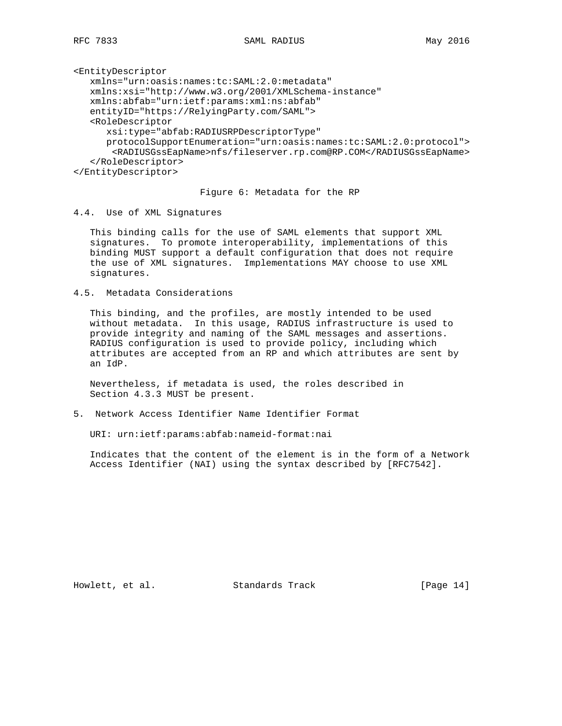<EntityDescriptor xmlns="urn:oasis:names:tc:SAML:2.0:metadata" xmlns:xsi="http://www.w3.org/2001/XMLSchema-instance" xmlns:abfab="urn:ietf:params:xml:ns:abfab" entityID="https://RelyingParty.com/SAML"> <RoleDescriptor xsi:type="abfab:RADIUSRPDescriptorType" protocolSupportEnumeration="urn:oasis:names:tc:SAML:2.0:protocol"> <RADIUSGssEapName>nfs/fileserver.rp.com@RP.COM</RADIUSGssEapName> </RoleDescriptor> </EntityDescriptor>

Figure 6: Metadata for the RP

4.4. Use of XML Signatures

 This binding calls for the use of SAML elements that support XML signatures. To promote interoperability, implementations of this binding MUST support a default configuration that does not require the use of XML signatures. Implementations MAY choose to use XML signatures.

4.5. Metadata Considerations

 This binding, and the profiles, are mostly intended to be used without metadata. In this usage, RADIUS infrastructure is used to provide integrity and naming of the SAML messages and assertions. RADIUS configuration is used to provide policy, including which attributes are accepted from an RP and which attributes are sent by an IdP.

 Nevertheless, if metadata is used, the roles described in Section 4.3.3 MUST be present.

5. Network Access Identifier Name Identifier Format

URI: urn:ietf:params:abfab:nameid-format:nai

 Indicates that the content of the element is in the form of a Network Access Identifier (NAI) using the syntax described by [RFC7542].

Howlett, et al. Standards Track [Page 14]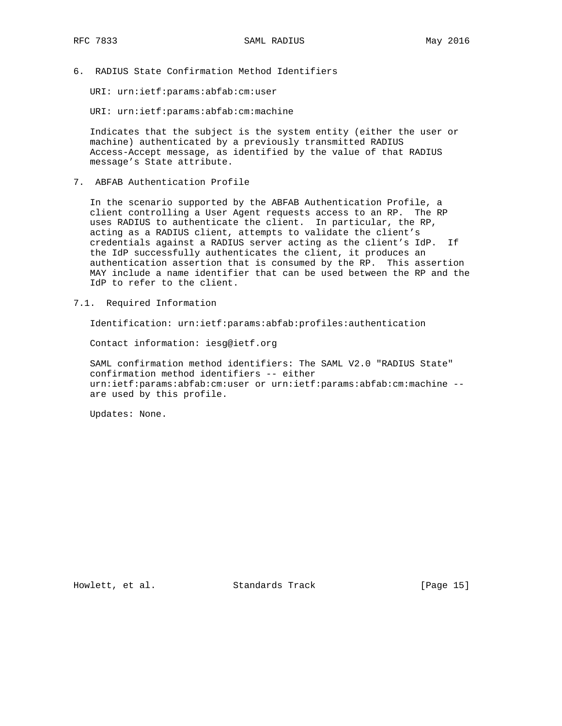6. RADIUS State Confirmation Method Identifiers

URI: urn:ietf:params:abfab:cm:user

URI: urn:ietf:params:abfab:cm:machine

 Indicates that the subject is the system entity (either the user or machine) authenticated by a previously transmitted RADIUS Access-Accept message, as identified by the value of that RADIUS message's State attribute.

7. ABFAB Authentication Profile

 In the scenario supported by the ABFAB Authentication Profile, a client controlling a User Agent requests access to an RP. The RP uses RADIUS to authenticate the client. In particular, the RP, acting as a RADIUS client, attempts to validate the client's credentials against a RADIUS server acting as the client's IdP. If the IdP successfully authenticates the client, it produces an authentication assertion that is consumed by the RP. This assertion MAY include a name identifier that can be used between the RP and the IdP to refer to the client.

7.1. Required Information

Identification: urn:ietf:params:abfab:profiles:authentication

Contact information: iesg@ietf.org

 SAML confirmation method identifiers: The SAML V2.0 "RADIUS State" confirmation method identifiers -- either urn:ietf:params:abfab:cm:user or urn:ietf:params:abfab:cm:machine - are used by this profile.

Updates: None.

Howlett, et al. Standards Track [Page 15]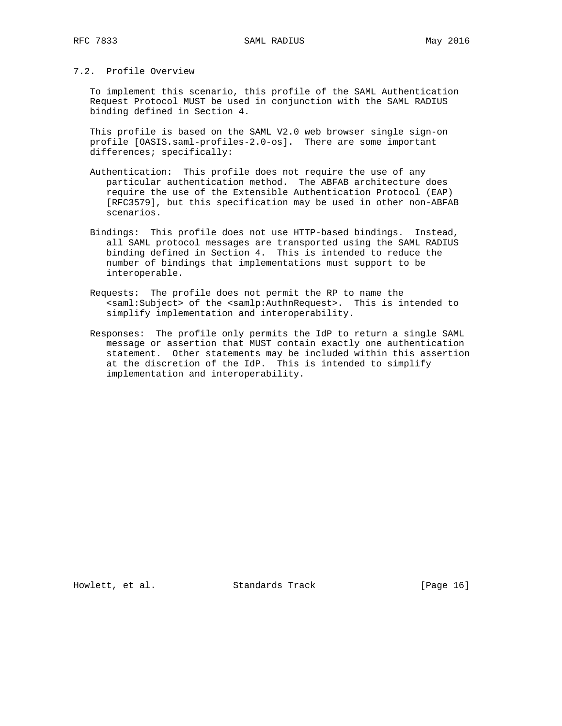### 7.2. Profile Overview

 To implement this scenario, this profile of the SAML Authentication Request Protocol MUST be used in conjunction with the SAML RADIUS binding defined in Section 4.

 This profile is based on the SAML V2.0 web browser single sign-on profile [OASIS.saml-profiles-2.0-os]. There are some important differences; specifically:

- Authentication: This profile does not require the use of any particular authentication method. The ABFAB architecture does require the use of the Extensible Authentication Protocol (EAP) [RFC3579], but this specification may be used in other non-ABFAB scenarios.
- Bindings: This profile does not use HTTP-based bindings. Instead, all SAML protocol messages are transported using the SAML RADIUS binding defined in Section 4. This is intended to reduce the number of bindings that implementations must support to be interoperable.
- Requests: The profile does not permit the RP to name the <saml:Subject> of the <samlp:AuthnRequest>. This is intended to simplify implementation and interoperability.
- Responses: The profile only permits the IdP to return a single SAML message or assertion that MUST contain exactly one authentication statement. Other statements may be included within this assertion at the discretion of the IdP. This is intended to simplify implementation and interoperability.

Howlett, et al. Standards Track [Page 16]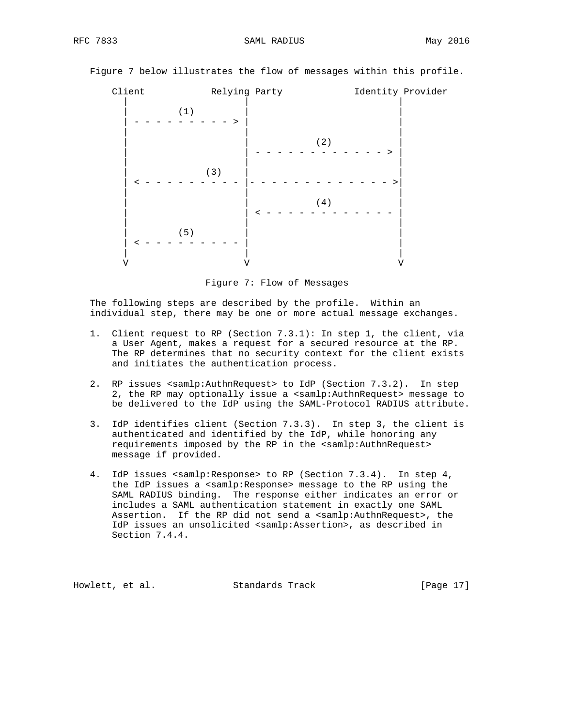Figure 7 below illustrates the flow of messages within this profile.

| Client |               | Relying Party | Identity Provider |
|--------|---------------|---------------|-------------------|
|        | (1)<br>$\geq$ |               |                   |
|        |               | (2)           | ⋗                 |
|        | (3)           |               |                   |
|        |               | (4)           |                   |
|        | (5)           |               |                   |
|        |               | V             |                   |

Figure 7: Flow of Messages

 The following steps are described by the profile. Within an individual step, there may be one or more actual message exchanges.

- 1. Client request to RP (Section 7.3.1): In step 1, the client, via a User Agent, makes a request for a secured resource at the RP. The RP determines that no security context for the client exists and initiates the authentication process.
- 2. RP issues <samlp:AuthnRequest> to IdP (Section 7.3.2). In step 2, the RP may optionally issue a <samlp:AuthnRequest> message to be delivered to the IdP using the SAML-Protocol RADIUS attribute.
- 3. IdP identifies client (Section 7.3.3). In step 3, the client is authenticated and identified by the IdP, while honoring any requirements imposed by the RP in the <samlp:AuthnRequest> message if provided.
- 4. IdP issues <samlp:Response> to RP (Section 7.3.4). In step 4, the IdP issues a <samlp:Response> message to the RP using the SAML RADIUS binding. The response either indicates an error or includes a SAML authentication statement in exactly one SAML Assertion. If the RP did not send a <samlp:AuthnRequest>, the IdP issues an unsolicited <samlp:Assertion>, as described in Section 7.4.4.

Howlett, et al. Standards Track [Page 17]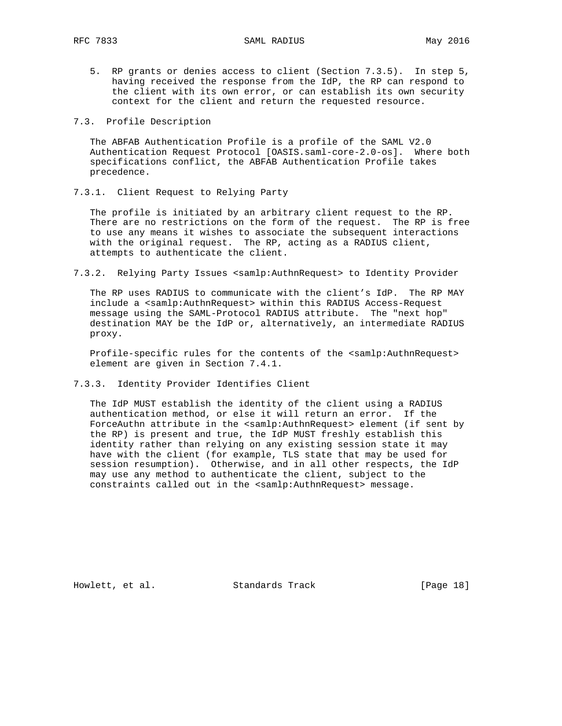- 5. RP grants or denies access to client (Section 7.3.5). In step 5, having received the response from the IdP, the RP can respond to the client with its own error, or can establish its own security context for the client and return the requested resource.
- 7.3. Profile Description

 The ABFAB Authentication Profile is a profile of the SAML V2.0 Authentication Request Protocol [OASIS.saml-core-2.0-os]. Where both specifications conflict, the ABFAB Authentication Profile takes precedence.

7.3.1. Client Request to Relying Party

 The profile is initiated by an arbitrary client request to the RP. There are no restrictions on the form of the request. The RP is free to use any means it wishes to associate the subsequent interactions with the original request. The RP, acting as a RADIUS client, attempts to authenticate the client.

7.3.2. Relying Party Issues <samlp:AuthnRequest> to Identity Provider

 The RP uses RADIUS to communicate with the client's IdP. The RP MAY include a <samlp:AuthnRequest> within this RADIUS Access-Request message using the SAML-Protocol RADIUS attribute. The "next hop" destination MAY be the IdP or, alternatively, an intermediate RADIUS proxy.

Profile-specific rules for the contents of the <samlp:AuthnRequest> element are given in Section 7.4.1.

7.3.3. Identity Provider Identifies Client

 The IdP MUST establish the identity of the client using a RADIUS authentication method, or else it will return an error. If the ForceAuthn attribute in the <samlp:AuthnRequest> element (if sent by the RP) is present and true, the IdP MUST freshly establish this identity rather than relying on any existing session state it may have with the client (for example, TLS state that may be used for session resumption). Otherwise, and in all other respects, the IdP may use any method to authenticate the client, subject to the constraints called out in the <samlp:AuthnRequest> message.

Howlett, et al. Standards Track [Page 18]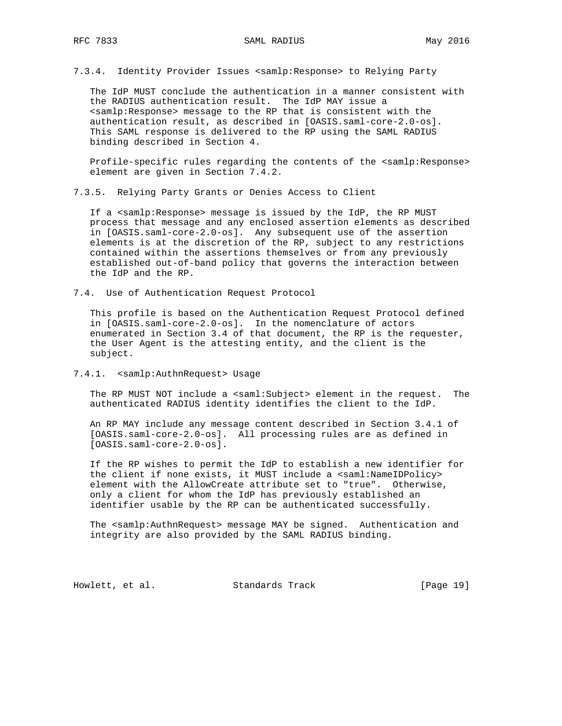RFC 7833 SAML RADIUS SAME RECTRISES May 2016

7.3.4. Identity Provider Issues <samlp:Response> to Relying Party

 The IdP MUST conclude the authentication in a manner consistent with the RADIUS authentication result. The IdP MAY issue a <samlp:Response> message to the RP that is consistent with the authentication result, as described in [OASIS.saml-core-2.0-os]. This SAML response is delivered to the RP using the SAML RADIUS binding described in Section 4.

Profile-specific rules regarding the contents of the <samlp:Response> element are given in Section 7.4.2.

7.3.5. Relying Party Grants or Denies Access to Client

If a <samlp:Response> message is issued by the IdP, the RP MUST process that message and any enclosed assertion elements as described in [OASIS.saml-core-2.0-os]. Any subsequent use of the assertion elements is at the discretion of the RP, subject to any restrictions contained within the assertions themselves or from any previously established out-of-band policy that governs the interaction between the IdP and the RP.

7.4. Use of Authentication Request Protocol

 This profile is based on the Authentication Request Protocol defined in [OASIS.saml-core-2.0-os]. In the nomenclature of actors enumerated in Section 3.4 of that document, the RP is the requester, the User Agent is the attesting entity, and the client is the subject.

7.4.1. <samlp:AuthnRequest> Usage

 The RP MUST NOT include a <saml:Subject> element in the request. The authenticated RADIUS identity identifies the client to the IdP.

 An RP MAY include any message content described in Section 3.4.1 of [OASIS.saml-core-2.0-os]. All processing rules are as defined in [OASIS.saml-core-2.0-os].

 If the RP wishes to permit the IdP to establish a new identifier for the client if none exists, it MUST include a <saml:NameIDPolicy> element with the AllowCreate attribute set to "true". Otherwise, only a client for whom the IdP has previously established an identifier usable by the RP can be authenticated successfully.

 The <samlp:AuthnRequest> message MAY be signed. Authentication and integrity are also provided by the SAML RADIUS binding.

Howlett, et al. Standards Track [Page 19]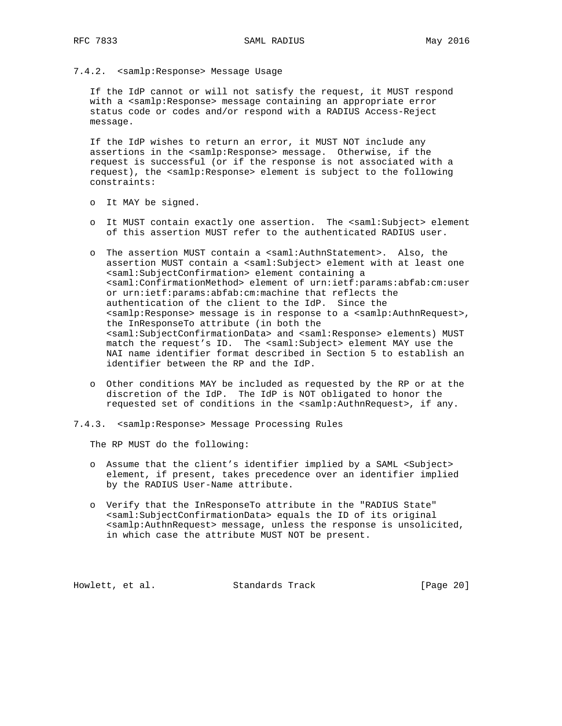7.4.2. <samlp:Response> Message Usage

 If the IdP cannot or will not satisfy the request, it MUST respond with a <samlp:Response> message containing an appropriate error status code or codes and/or respond with a RADIUS Access-Reject message.

 If the IdP wishes to return an error, it MUST NOT include any assertions in the <samlp:Response> message. Otherwise, if the request is successful (or if the response is not associated with a request), the <samlp:Response> element is subject to the following constraints:

- o It MAY be signed.
- o It MUST contain exactly one assertion. The <saml:Subject> element of this assertion MUST refer to the authenticated RADIUS user.
- o The assertion MUST contain a <saml:AuthnStatement>. Also, the assertion MUST contain a <saml:Subject> element with at least one <saml:SubjectConfirmation> element containing a <saml:ConfirmationMethod> element of urn:ietf:params:abfab:cm:user or urn:ietf:params:abfab:cm:machine that reflects the authentication of the client to the IdP. Since the <samlp:Response> message is in response to a <samlp:AuthnRequest>, the InResponseTo attribute (in both the <saml:SubjectConfirmationData> and <saml:Response> elements) MUST match the request's ID. The <saml:Subject> element MAY use the NAI name identifier format described in Section 5 to establish an identifier between the RP and the IdP.
- o Other conditions MAY be included as requested by the RP or at the discretion of the IdP. The IdP is NOT obligated to honor the requested set of conditions in the <samlp:AuthnRequest>, if any.
- 7.4.3. <samlp:Response> Message Processing Rules

The RP MUST do the following:

- o Assume that the client's identifier implied by a SAML <Subject> element, if present, takes precedence over an identifier implied by the RADIUS User-Name attribute.
- o Verify that the InResponseTo attribute in the "RADIUS State" <saml:SubjectConfirmationData> equals the ID of its original <samlp:AuthnRequest> message, unless the response is unsolicited, in which case the attribute MUST NOT be present.

Howlett, et al. Standards Track [Page 20]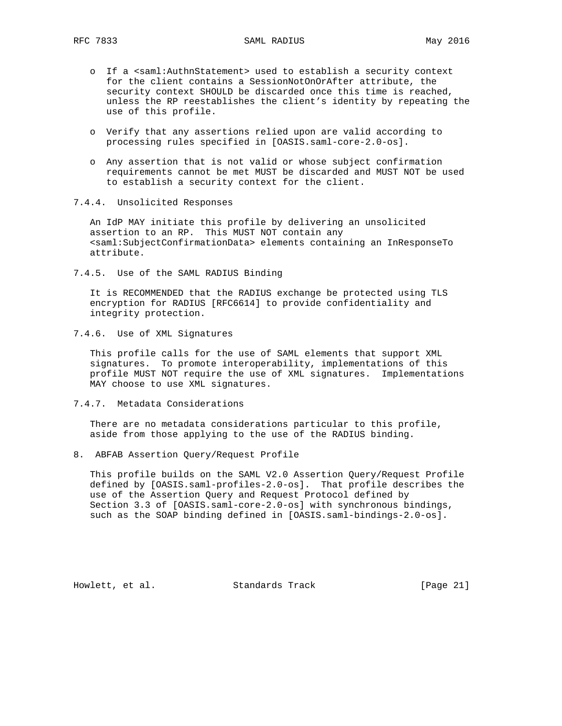- o If a <saml:AuthnStatement> used to establish a security context for the client contains a SessionNotOnOrAfter attribute, the security context SHOULD be discarded once this time is reached, unless the RP reestablishes the client's identity by repeating the use of this profile.
- o Verify that any assertions relied upon are valid according to processing rules specified in [OASIS.saml-core-2.0-os].
- o Any assertion that is not valid or whose subject confirmation requirements cannot be met MUST be discarded and MUST NOT be used to establish a security context for the client.
- 7.4.4. Unsolicited Responses

 An IdP MAY initiate this profile by delivering an unsolicited assertion to an RP. This MUST NOT contain any <saml:SubjectConfirmationData> elements containing an InResponseTo attribute.

7.4.5. Use of the SAML RADIUS Binding

 It is RECOMMENDED that the RADIUS exchange be protected using TLS encryption for RADIUS [RFC6614] to provide confidentiality and integrity protection.

7.4.6. Use of XML Signatures

 This profile calls for the use of SAML elements that support XML signatures. To promote interoperability, implementations of this profile MUST NOT require the use of XML signatures. Implementations MAY choose to use XML signatures.

7.4.7. Metadata Considerations

 There are no metadata considerations particular to this profile, aside from those applying to the use of the RADIUS binding.

8. ABFAB Assertion Query/Request Profile

 This profile builds on the SAML V2.0 Assertion Query/Request Profile defined by [OASIS.saml-profiles-2.0-os]. That profile describes the use of the Assertion Query and Request Protocol defined by Section 3.3 of [OASIS.saml-core-2.0-os] with synchronous bindings, such as the SOAP binding defined in [OASIS.saml-bindings-2.0-os].

Howlett, et al. Standards Track [Page 21]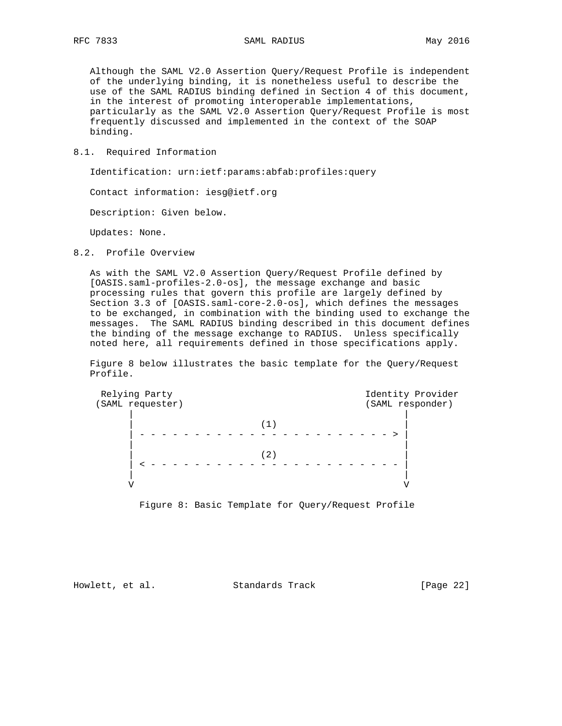RFC 7833 SAML RADIUS SAME RECTRISES May 2016

 Although the SAML V2.0 Assertion Query/Request Profile is independent of the underlying binding, it is nonetheless useful to describe the use of the SAML RADIUS binding defined in Section 4 of this document, in the interest of promoting interoperable implementations, particularly as the SAML V2.0 Assertion Query/Request Profile is most frequently discussed and implemented in the context of the SOAP binding.

8.1. Required Information

Identification: urn:ietf:params:abfab:profiles:query

Contact information: iesg@ietf.org

Description: Given below.

Updates: None.

8.2. Profile Overview

 As with the SAML V2.0 Assertion Query/Request Profile defined by [OASIS.saml-profiles-2.0-os], the message exchange and basic processing rules that govern this profile are largely defined by Section 3.3 of [OASIS.saml-core-2.0-os], which defines the messages to be exchanged, in combination with the binding used to exchange the messages. The SAML RADIUS binding described in this document defines the binding of the message exchange to RADIUS. Unless specifically noted here, all requirements defined in those specifications apply.

 Figure 8 below illustrates the basic template for the Query/Request Profile.

Relying Party **Identity** Provider (SAML requester) (SAML responder) | |  $(1)$  | - - - - - - - - - - - - - - - - - - - - - - - > | | |  $(2)$  | < - - - - - - - - - - - - - - - - - - - - - - - | | | V V

Figure 8: Basic Template for Query/Request Profile

Howlett, et al. Standards Track [Page 22]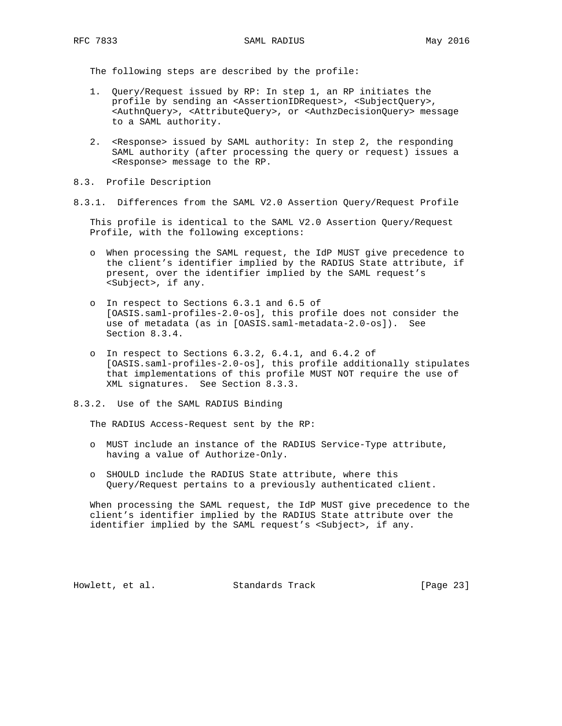The following steps are described by the profile:

- 1. Query/Request issued by RP: In step 1, an RP initiates the profile by sending an <AssertionIDRequest>, <SubjectQuery>, <AuthnQuery>, <AttributeQuery>, or <AuthzDecisionQuery> message to a SAML authority.
- 2. <Response> issued by SAML authority: In step 2, the responding SAML authority (after processing the query or request) issues a <Response> message to the RP.
- 8.3. Profile Description
- 8.3.1. Differences from the SAML V2.0 Assertion Query/Request Profile

 This profile is identical to the SAML V2.0 Assertion Query/Request Profile, with the following exceptions:

- o When processing the SAML request, the IdP MUST give precedence to the client's identifier implied by the RADIUS State attribute, if present, over the identifier implied by the SAML request's <Subject>, if any.
- o In respect to Sections 6.3.1 and 6.5 of [OASIS.saml-profiles-2.0-os], this profile does not consider the use of metadata (as in [OASIS.saml-metadata-2.0-os]). See Section 8.3.4.
- o In respect to Sections 6.3.2, 6.4.1, and 6.4.2 of [OASIS.saml-profiles-2.0-os], this profile additionally stipulates that implementations of this profile MUST NOT require the use of XML signatures. See Section 8.3.3.
- 8.3.2. Use of the SAML RADIUS Binding

The RADIUS Access-Request sent by the RP:

- o MUST include an instance of the RADIUS Service-Type attribute, having a value of Authorize-Only.
- o SHOULD include the RADIUS State attribute, where this Query/Request pertains to a previously authenticated client.

 When processing the SAML request, the IdP MUST give precedence to the client's identifier implied by the RADIUS State attribute over the identifier implied by the SAML request's <Subject>, if any.

Howlett, et al. Standards Track [Page 23]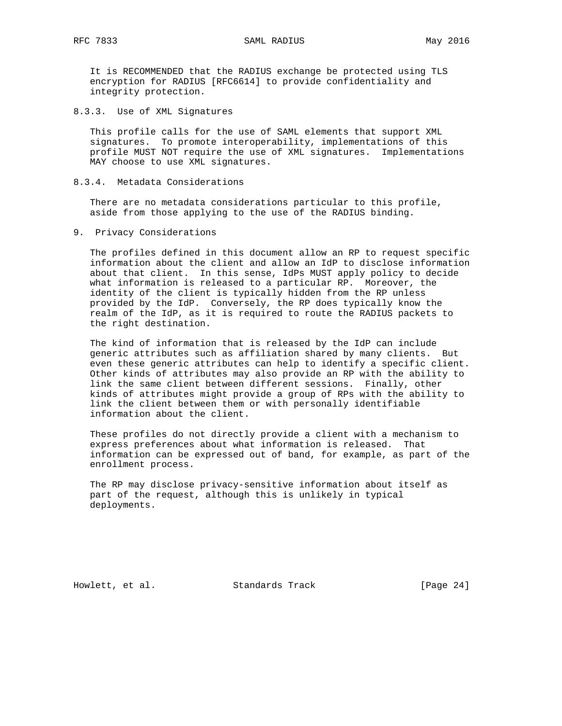It is RECOMMENDED that the RADIUS exchange be protected using TLS encryption for RADIUS [RFC6614] to provide confidentiality and integrity protection.

8.3.3. Use of XML Signatures

 This profile calls for the use of SAML elements that support XML signatures. To promote interoperability, implementations of this profile MUST NOT require the use of XML signatures. Implementations MAY choose to use XML signatures.

8.3.4. Metadata Considerations

 There are no metadata considerations particular to this profile, aside from those applying to the use of the RADIUS binding.

9. Privacy Considerations

 The profiles defined in this document allow an RP to request specific information about the client and allow an IdP to disclose information about that client. In this sense, IdPs MUST apply policy to decide what information is released to a particular RP. Moreover, the identity of the client is typically hidden from the RP unless provided by the IdP. Conversely, the RP does typically know the realm of the IdP, as it is required to route the RADIUS packets to the right destination.

 The kind of information that is released by the IdP can include generic attributes such as affiliation shared by many clients. But even these generic attributes can help to identify a specific client. Other kinds of attributes may also provide an RP with the ability to link the same client between different sessions. Finally, other kinds of attributes might provide a group of RPs with the ability to link the client between them or with personally identifiable information about the client.

 These profiles do not directly provide a client with a mechanism to express preferences about what information is released. That information can be expressed out of band, for example, as part of the enrollment process.

 The RP may disclose privacy-sensitive information about itself as part of the request, although this is unlikely in typical deployments.

Howlett, et al. Standards Track [Page 24]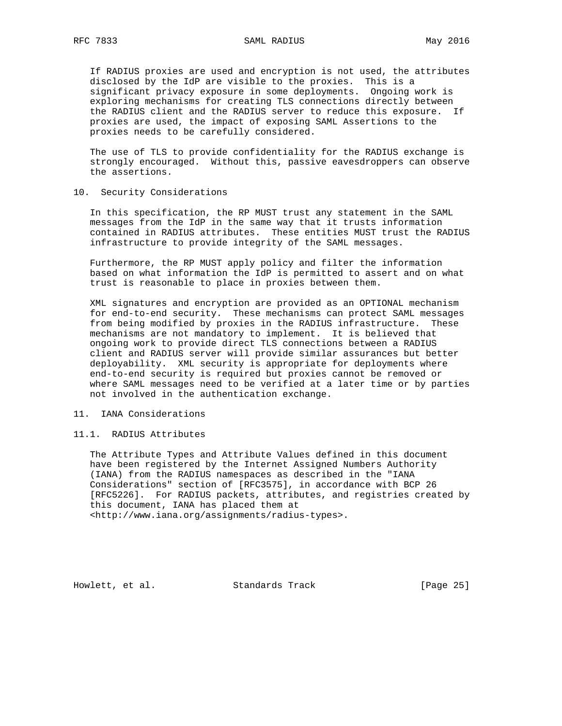If RADIUS proxies are used and encryption is not used, the attributes disclosed by the IdP are visible to the proxies. This is a significant privacy exposure in some deployments. Ongoing work is exploring mechanisms for creating TLS connections directly between the RADIUS client and the RADIUS server to reduce this exposure. If proxies are used, the impact of exposing SAML Assertions to the proxies needs to be carefully considered.

 The use of TLS to provide confidentiality for the RADIUS exchange is strongly encouraged. Without this, passive eavesdroppers can observe the assertions.

#### 10. Security Considerations

 In this specification, the RP MUST trust any statement in the SAML messages from the IdP in the same way that it trusts information contained in RADIUS attributes. These entities MUST trust the RADIUS infrastructure to provide integrity of the SAML messages.

 Furthermore, the RP MUST apply policy and filter the information based on what information the IdP is permitted to assert and on what trust is reasonable to place in proxies between them.

 XML signatures and encryption are provided as an OPTIONAL mechanism for end-to-end security. These mechanisms can protect SAML messages from being modified by proxies in the RADIUS infrastructure. These mechanisms are not mandatory to implement. It is believed that ongoing work to provide direct TLS connections between a RADIUS client and RADIUS server will provide similar assurances but better deployability. XML security is appropriate for deployments where end-to-end security is required but proxies cannot be removed or where SAML messages need to be verified at a later time or by parties not involved in the authentication exchange.

### 11. IANA Considerations

# 11.1. RADIUS Attributes

 The Attribute Types and Attribute Values defined in this document have been registered by the Internet Assigned Numbers Authority (IANA) from the RADIUS namespaces as described in the "IANA Considerations" section of [RFC3575], in accordance with BCP 26 [RFC5226]. For RADIUS packets, attributes, and registries created by this document, IANA has placed them at <http://www.iana.org/assignments/radius-types>.

Howlett, et al. Standards Track [Page 25]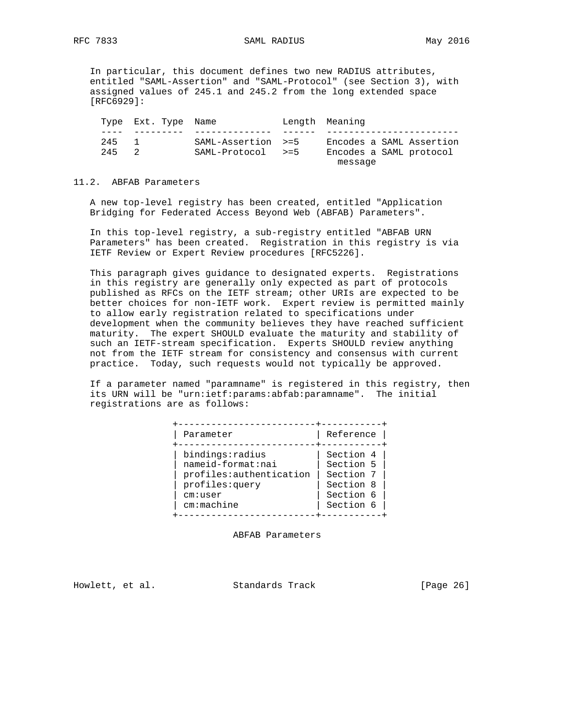In particular, this document defines two new RADIUS attributes, entitled "SAML-Assertion" and "SAML-Protocol" (see Section 3), with assigned values of 245.1 and 245.2 from the long extended space [RFC6929]:

|     | Type Ext. Type Name |                    | Length Meaning           |  |
|-----|---------------------|--------------------|--------------------------|--|
|     |                     |                    |                          |  |
| 245 |                     | SAML-Assertion >=5 | Encodes a SAML Assertion |  |
| 245 | - 2.                | SAML-Protocol >=5  | Encodes a SAML protocol  |  |
|     |                     |                    | message                  |  |

#### 11.2. ABFAB Parameters

 A new top-level registry has been created, entitled "Application Bridging for Federated Access Beyond Web (ABFAB) Parameters".

 In this top-level registry, a sub-registry entitled "ABFAB URN Parameters" has been created. Registration in this registry is via IETF Review or Expert Review procedures [RFC5226].

 This paragraph gives guidance to designated experts. Registrations in this registry are generally only expected as part of protocols published as RFCs on the IETF stream; other URIs are expected to be better choices for non-IETF work. Expert review is permitted mainly to allow early registration related to specifications under development when the community believes they have reached sufficient maturity. The expert SHOULD evaluate the maturity and stability of such an IETF-stream specification. Experts SHOULD review anything not from the IETF stream for consistency and consensus with current practice. Today, such requests would not typically be approved.

 If a parameter named "paramname" is registered in this registry, then its URN will be "urn:ietf:params:abfab:paramname". The initial registrations are as follows:

| Parameter               | Reference |
|-------------------------|-----------|
| bindings: radius        | Section 4 |
| nameid-format:nai       | Section 5 |
| profiles:authentication | Section 7 |
| profiles: query         | Section 8 |
| cm: user                | Section 6 |
| cm:machine              | Section 6 |

ABFAB Parameters

Howlett, et al. Standards Track [Page 26]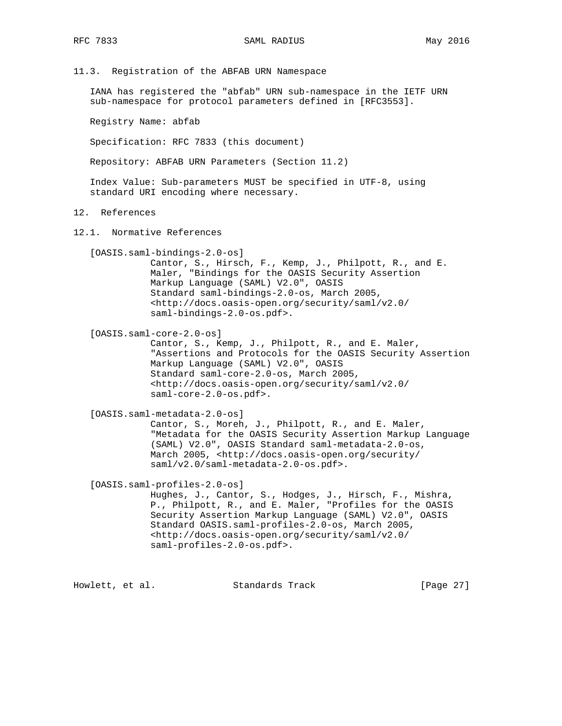11.3. Registration of the ABFAB URN Namespace

 IANA has registered the "abfab" URN sub-namespace in the IETF URN sub-namespace for protocol parameters defined in [RFC3553].

Registry Name: abfab

Specification: RFC 7833 (this document)

Repository: ABFAB URN Parameters (Section 11.2)

 Index Value: Sub-parameters MUST be specified in UTF-8, using standard URI encoding where necessary.

- 12. References
- 12.1. Normative References

 [OASIS.saml-bindings-2.0-os] Cantor, S., Hirsch, F., Kemp, J., Philpott, R., and E. Maler, "Bindings for the OASIS Security Assertion Markup Language (SAML) V2.0", OASIS Standard saml-bindings-2.0-os, March 2005, <http://docs.oasis-open.org/security/saml/v2.0/ saml-bindings-2.0-os.pdf>.

[OASIS.saml-core-2.0-os]

 Cantor, S., Kemp, J., Philpott, R., and E. Maler, "Assertions and Protocols for the OASIS Security Assertion Markup Language (SAML) V2.0", OASIS Standard saml-core-2.0-os, March 2005, <http://docs.oasis-open.org/security/saml/v2.0/ saml-core-2.0-os.pdf>.

 [OASIS.saml-metadata-2.0-os] Cantor, S., Moreh, J., Philpott, R., and E. Maler, "Metadata for the OASIS Security Assertion Markup Language (SAML) V2.0", OASIS Standard saml-metadata-2.0-os, March 2005, <http://docs.oasis-open.org/security/ saml/v2.0/saml-metadata-2.0-os.pdf>.

[OASIS.saml-profiles-2.0-os]

 Hughes, J., Cantor, S., Hodges, J., Hirsch, F., Mishra, P., Philpott, R., and E. Maler, "Profiles for the OASIS Security Assertion Markup Language (SAML) V2.0", OASIS Standard OASIS.saml-profiles-2.0-os, March 2005, <http://docs.oasis-open.org/security/saml/v2.0/ saml-profiles-2.0-os.pdf>.

Howlett, et al. Standards Track [Page 27]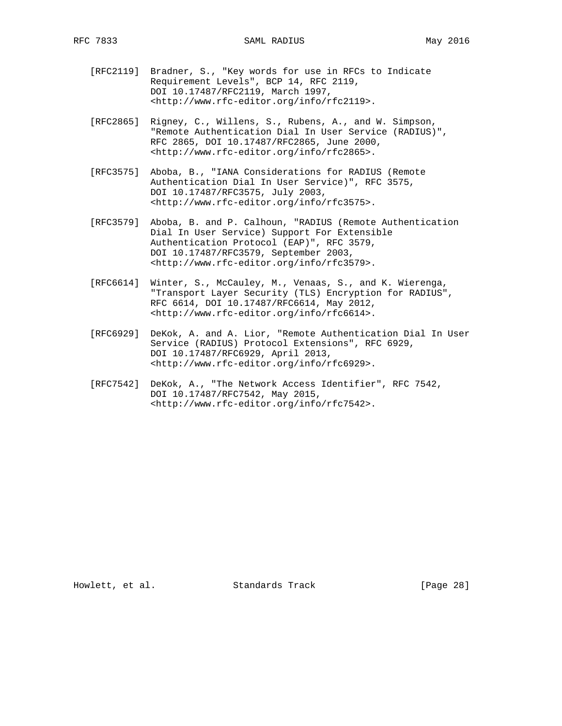- [RFC2119] Bradner, S., "Key words for use in RFCs to Indicate Requirement Levels", BCP 14, RFC 2119, DOI 10.17487/RFC2119, March 1997, <http://www.rfc-editor.org/info/rfc2119>.
- [RFC2865] Rigney, C., Willens, S., Rubens, A., and W. Simpson, "Remote Authentication Dial In User Service (RADIUS)", RFC 2865, DOI 10.17487/RFC2865, June 2000, <http://www.rfc-editor.org/info/rfc2865>.
- [RFC3575] Aboba, B., "IANA Considerations for RADIUS (Remote Authentication Dial In User Service)", RFC 3575, DOI 10.17487/RFC3575, July 2003, <http://www.rfc-editor.org/info/rfc3575>.
- [RFC3579] Aboba, B. and P. Calhoun, "RADIUS (Remote Authentication Dial In User Service) Support For Extensible Authentication Protocol (EAP)", RFC 3579, DOI 10.17487/RFC3579, September 2003, <http://www.rfc-editor.org/info/rfc3579>.
- [RFC6614] Winter, S., McCauley, M., Venaas, S., and K. Wierenga, "Transport Layer Security (TLS) Encryption for RADIUS", RFC 6614, DOI 10.17487/RFC6614, May 2012, <http://www.rfc-editor.org/info/rfc6614>.
- [RFC6929] DeKok, A. and A. Lior, "Remote Authentication Dial In User Service (RADIUS) Protocol Extensions", RFC 6929, DOI 10.17487/RFC6929, April 2013, <http://www.rfc-editor.org/info/rfc6929>.
- [RFC7542] DeKok, A., "The Network Access Identifier", RFC 7542, DOI 10.17487/RFC7542, May 2015, <http://www.rfc-editor.org/info/rfc7542>.

Howlett, et al. Standards Track [Page 28]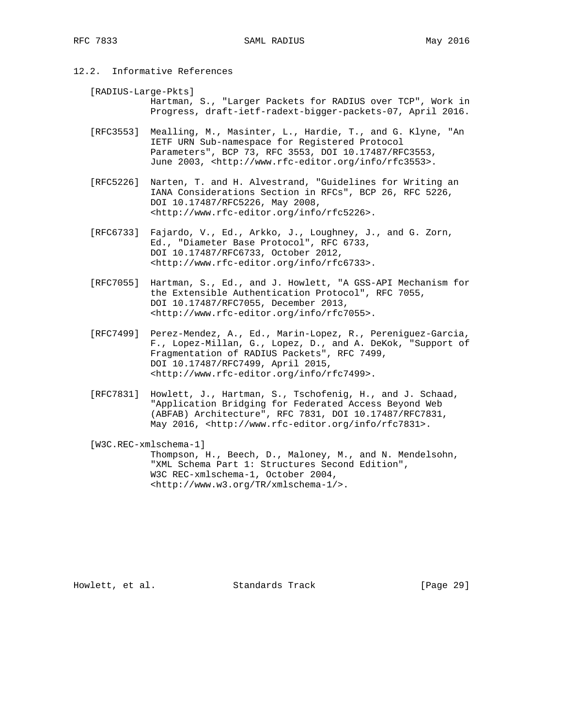12.2. Informative References

[RADIUS-Large-Pkts]

 Hartman, S., "Larger Packets for RADIUS over TCP", Work in Progress, draft-ietf-radext-bigger-packets-07, April 2016.

 [RFC3553] Mealling, M., Masinter, L., Hardie, T., and G. Klyne, "An IETF URN Sub-namespace for Registered Protocol Parameters", BCP 73, RFC 3553, DOI 10.17487/RFC3553, June 2003, <http://www.rfc-editor.org/info/rfc3553>.

- [RFC5226] Narten, T. and H. Alvestrand, "Guidelines for Writing an IANA Considerations Section in RFCs", BCP 26, RFC 5226, DOI 10.17487/RFC5226, May 2008, <http://www.rfc-editor.org/info/rfc5226>.
- [RFC6733] Fajardo, V., Ed., Arkko, J., Loughney, J., and G. Zorn, Ed., "Diameter Base Protocol", RFC 6733, DOI 10.17487/RFC6733, October 2012, <http://www.rfc-editor.org/info/rfc6733>.
- [RFC7055] Hartman, S., Ed., and J. Howlett, "A GSS-API Mechanism for the Extensible Authentication Protocol", RFC 7055, DOI 10.17487/RFC7055, December 2013, <http://www.rfc-editor.org/info/rfc7055>.
- [RFC7499] Perez-Mendez, A., Ed., Marin-Lopez, R., Pereniguez-Garcia, F., Lopez-Millan, G., Lopez, D., and A. DeKok, "Support of Fragmentation of RADIUS Packets", RFC 7499, DOI 10.17487/RFC7499, April 2015, <http://www.rfc-editor.org/info/rfc7499>.
- [RFC7831] Howlett, J., Hartman, S., Tschofenig, H., and J. Schaad, "Application Bridging for Federated Access Beyond Web (ABFAB) Architecture", RFC 7831, DOI 10.17487/RFC7831, May 2016, <http://www.rfc-editor.org/info/rfc7831>.

 [W3C.REC-xmlschema-1] Thompson, H., Beech, D., Maloney, M., and N. Mendelsohn, "XML Schema Part 1: Structures Second Edition", W3C REC-xmlschema-1, October 2004, <http://www.w3.org/TR/xmlschema-1/>.

Howlett, et al. Standards Track [Page 29]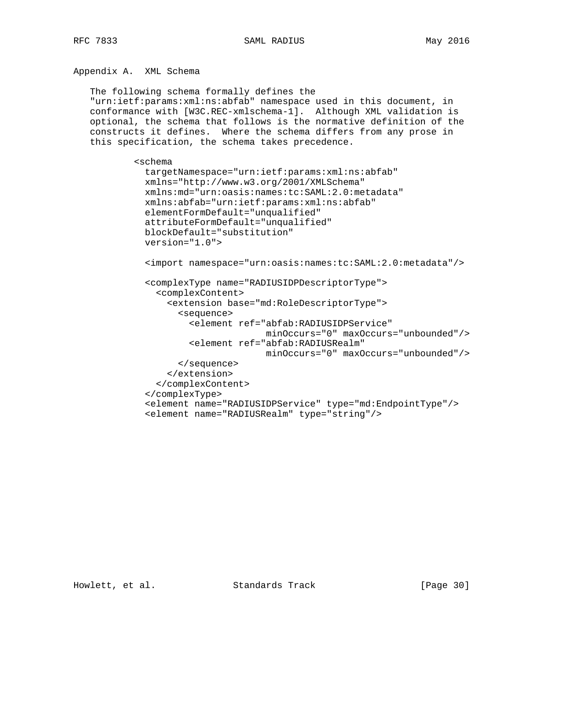Appendix A. XML Schema

 The following schema formally defines the "urn:ietf:params:xml:ns:abfab" namespace used in this document, in conformance with [W3C.REC-xmlschema-1]. Although XML validation is optional, the schema that follows is the normative definition of the constructs it defines. Where the schema differs from any prose in this specification, the schema takes precedence.

<schema

```
 targetNamespace="urn:ietf:params:xml:ns:abfab"
 xmlns="http://www.w3.org/2001/XMLSchema"
 xmlns:md="urn:oasis:names:tc:SAML:2.0:metadata"
 xmlns:abfab="urn:ietf:params:xml:ns:abfab"
 elementFormDefault="unqualified"
 attributeFormDefault="unqualified"
 blockDefault="substitution"
 version="1.0">
 <import namespace="urn:oasis:names:tc:SAML:2.0:metadata"/>
```

```
 <complexType name="RADIUSIDPDescriptorType">
   <complexContent>
     <extension base="md:RoleDescriptorType">
       <sequence>
         <element ref="abfab:RADIUSIDPService"
                        minOccurs="0" maxOccurs="unbounded"/>
         <element ref="abfab:RADIUSRealm"
                       minOccurs="0" maxOccurs="unbounded"/>
       </sequence>
     </extension>
   </complexContent>
 </complexType>
 <element name="RADIUSIDPService" type="md:EndpointType"/>
 <element name="RADIUSRealm" type="string"/>
```
Howlett, et al. Standards Track [Page 30]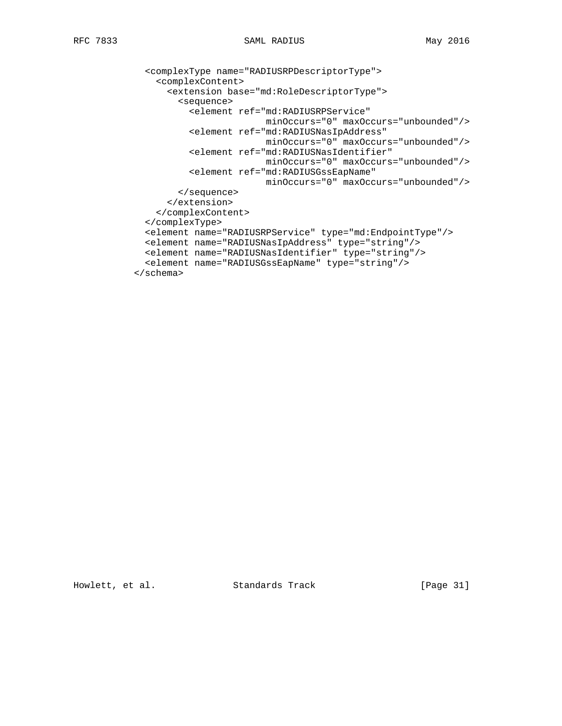```
 <complexType name="RADIUSRPDescriptorType">
     <complexContent>
       <extension base="md:RoleDescriptorType">
         <sequence>
           <element ref="md:RADIUSRPService"
                         minOccurs="0" maxOccurs="unbounded"/>
           <element ref="md:RADIUSNasIpAddress"
                         minOccurs="0" maxOccurs="unbounded"/>
           <element ref="md:RADIUSNasIdentifier"
                         minOccurs="0" maxOccurs="unbounded"/>
           <element ref="md:RADIUSGssEapName"
                         minOccurs="0" maxOccurs="unbounded"/>
         </sequence>
       </extension>
     </complexContent>
  </complexType>
  <element name="RADIUSRPService" type="md:EndpointType"/>
  <element name="RADIUSNasIpAddress" type="string"/>
  <element name="RADIUSNasIdentifier" type="string"/>
  <element name="RADIUSGssEapName" type="string"/>
 </schema>
```